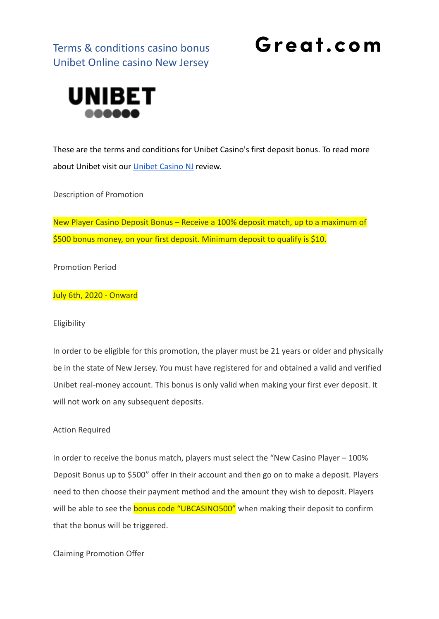Terms & conditions casino bonus Unibet Online casino New Jersey

## Great.com



These are the terms and conditions for Unibet Casino's first deposit bonus. To read more about Unibet visit our [Unibet Casino NJ](https://great.com/en-us/online-casino/unibet-online-casino-nj/) review.

Description of Promotion

New Player Casino Deposit Bonus – Receive a 100% deposit match, up to a maximum of \$500 bonus money, on your first deposit. Minimum deposit to qualify is \$10.

Promotion Period

July 6th, 2020 - Onward

#### Eligibility

In order to be eligible for this promotion, the player must be 21 years or older and physically be in the state of New Jersey. You must have registered for and obtained a valid and verified Unibet real-money account. This bonus is only valid when making your first ever deposit. It will not work on any subsequent deposits.

#### Action Required

In order to receive the bonus match, players must select the "New Casino Player – 100% Deposit Bonus up to \$500" offer in their account and then go on to make a deposit. Players need to then choose their payment method and the amount they wish to deposit. Players will be able to see the **bonus code "UBCASINO500"** when making their deposit to confirm that the bonus will be triggered.

Claiming Promotion Offer